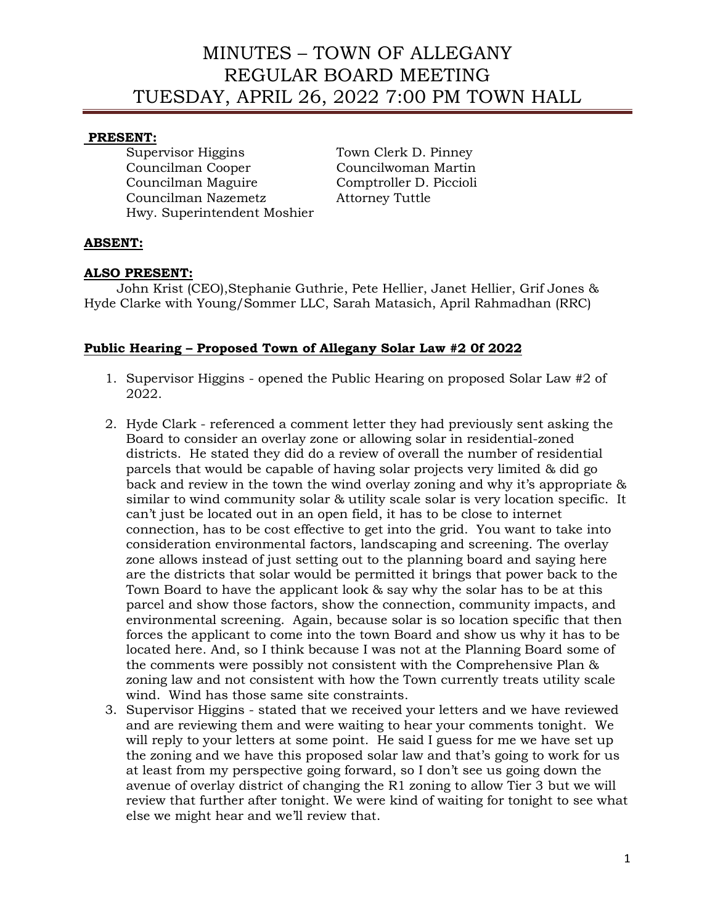#### **PRESENT:**

Supervisor Higgins Town Clerk D. Pinney Councilman Cooper Councilwoman Martin Councilman Maguire Comptroller D. Piccioli Councilman Nazemetz Attorney Tuttle Hwy. Superintendent Moshier

#### **ABSENT:**

#### **ALSO PRESENT:**

 John Krist (CEO),Stephanie Guthrie, Pete Hellier, Janet Hellier, Grif Jones & Hyde Clarke with Young/Sommer LLC, Sarah Matasich, April Rahmadhan (RRC)

#### **Public Hearing – Proposed Town of Allegany Solar Law #2 0f 2022**

- 1. Supervisor Higgins opened the Public Hearing on proposed Solar Law #2 of 2022.
- 2. Hyde Clark referenced a comment letter they had previously sent asking the Board to consider an overlay zone or allowing solar in residential-zoned districts. He stated they did do a review of overall the number of residential parcels that would be capable of having solar projects very limited & did go back and review in the town the wind overlay zoning and why it's appropriate & similar to wind community solar & utility scale solar is very location specific. It can't just be located out in an open field, it has to be close to internet connection, has to be cost effective to get into the grid. You want to take into consideration environmental factors, landscaping and screening. The overlay zone allows instead of just setting out to the planning board and saying here are the districts that solar would be permitted it brings that power back to the Town Board to have the applicant look & say why the solar has to be at this parcel and show those factors, show the connection, community impacts, and environmental screening. Again, because solar is so location specific that then forces the applicant to come into the town Board and show us why it has to be located here. And, so I think because I was not at the Planning Board some of the comments were possibly not consistent with the Comprehensive Plan & zoning law and not consistent with how the Town currently treats utility scale wind. Wind has those same site constraints.
- 3. Supervisor Higgins stated that we received your letters and we have reviewed and are reviewing them and were waiting to hear your comments tonight. We will reply to your letters at some point. He said I guess for me we have set up the zoning and we have this proposed solar law and that's going to work for us at least from my perspective going forward, so I don't see us going down the avenue of overlay district of changing the R1 zoning to allow Tier 3 but we will review that further after tonight. We were kind of waiting for tonight to see what else we might hear and we'll review that.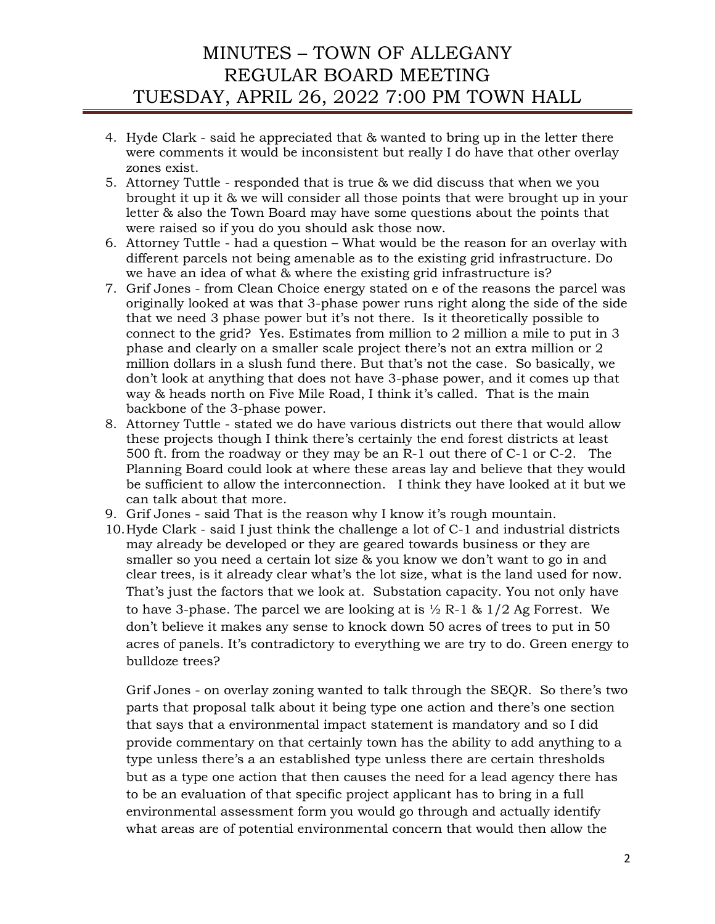- 4. Hyde Clark said he appreciated that & wanted to bring up in the letter there were comments it would be inconsistent but really I do have that other overlay zones exist.
- 5. Attorney Tuttle responded that is true & we did discuss that when we you brought it up it & we will consider all those points that were brought up in your letter & also the Town Board may have some questions about the points that were raised so if you do you should ask those now.
- 6. Attorney Tuttle had a question What would be the reason for an overlay with different parcels not being amenable as to the existing grid infrastructure. Do we have an idea of what & where the existing grid infrastructure is?
- 7. Grif Jones from Clean Choice energy stated on e of the reasons the parcel was originally looked at was that 3-phase power runs right along the side of the side that we need 3 phase power but it's not there. Is it theoretically possible to connect to the grid? Yes. Estimates from million to 2 million a mile to put in 3 phase and clearly on a smaller scale project there's not an extra million or 2 million dollars in a slush fund there. But that's not the case. So basically, we don't look at anything that does not have 3-phase power, and it comes up that way & heads north on Five Mile Road, I think it's called. That is the main backbone of the 3-phase power.
- 8. Attorney Tuttle stated we do have various districts out there that would allow these projects though I think there's certainly the end forest districts at least 500 ft. from the roadway or they may be an R-1 out there of C-1 or C-2. The Planning Board could look at where these areas lay and believe that they would be sufficient to allow the interconnection. I think they have looked at it but we can talk about that more.
- 9. Grif Jones said That is the reason why I know it's rough mountain.
- 10.Hyde Clark said I just think the challenge a lot of C-1 and industrial districts may already be developed or they are geared towards business or they are smaller so you need a certain lot size & you know we don't want to go in and clear trees, is it already clear what's the lot size, what is the land used for now. That's just the factors that we look at. Substation capacity. You not only have to have 3-phase. The parcel we are looking at is  $\frac{1}{2}$  R-1 & 1/2 Ag Forrest. We don't believe it makes any sense to knock down 50 acres of trees to put in 50 acres of panels. It's contradictory to everything we are try to do. Green energy to bulldoze trees?

Grif Jones - on overlay zoning wanted to talk through the SEQR. So there's two parts that proposal talk about it being type one action and there's one section that says that a environmental impact statement is mandatory and so I did provide commentary on that certainly town has the ability to add anything to a type unless there's a an established type unless there are certain thresholds but as a type one action that then causes the need for a lead agency there has to be an evaluation of that specific project applicant has to bring in a full environmental assessment form you would go through and actually identify what areas are of potential environmental concern that would then allow the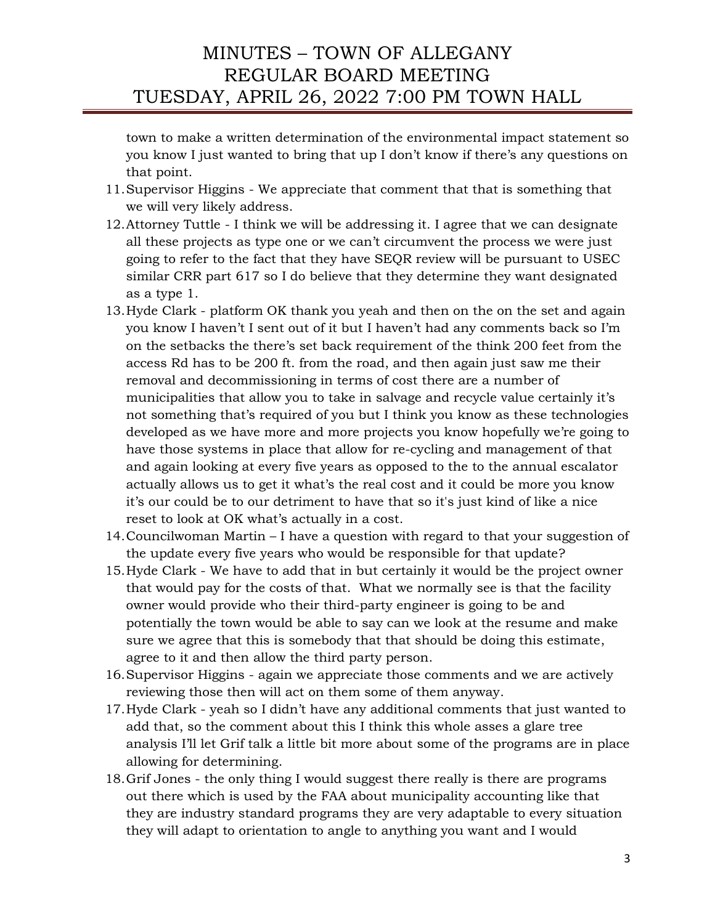town to make a written determination of the environmental impact statement so you know I just wanted to bring that up I don't know if there's any questions on that point.

- 11.Supervisor Higgins We appreciate that comment that that is something that we will very likely address.
- 12.Attorney Tuttle I think we will be addressing it. I agree that we can designate all these projects as type one or we can't circumvent the process we were just going to refer to the fact that they have SEQR review will be pursuant to USEC similar CRR part 617 so I do believe that they determine they want designated as a type 1.
- 13.Hyde Clark platform OK thank you yeah and then on the on the set and again you know I haven't I sent out of it but I haven't had any comments back so I'm on the setbacks the there's set back requirement of the think 200 feet from the access Rd has to be 200 ft. from the road, and then again just saw me their removal and decommissioning in terms of cost there are a number of municipalities that allow you to take in salvage and recycle value certainly it's not something that's required of you but I think you know as these technologies developed as we have more and more projects you know hopefully we're going to have those systems in place that allow for re-cycling and management of that and again looking at every five years as opposed to the to the annual escalator actually allows us to get it what's the real cost and it could be more you know it's our could be to our detriment to have that so it's just kind of like a nice reset to look at OK what's actually in a cost.
- 14.Councilwoman Martin I have a question with regard to that your suggestion of the update every five years who would be responsible for that update?
- 15.Hyde Clark We have to add that in but certainly it would be the project owner that would pay for the costs of that. What we normally see is that the facility owner would provide who their third-party engineer is going to be and potentially the town would be able to say can we look at the resume and make sure we agree that this is somebody that that should be doing this estimate, agree to it and then allow the third party person.
- 16.Supervisor Higgins again we appreciate those comments and we are actively reviewing those then will act on them some of them anyway.
- 17.Hyde Clark yeah so I didn't have any additional comments that just wanted to add that, so the comment about this I think this whole asses a glare tree analysis I'll let Grif talk a little bit more about some of the programs are in place allowing for determining.
- 18.Grif Jones the only thing I would suggest there really is there are programs out there which is used by the FAA about municipality accounting like that they are industry standard programs they are very adaptable to every situation they will adapt to orientation to angle to anything you want and I would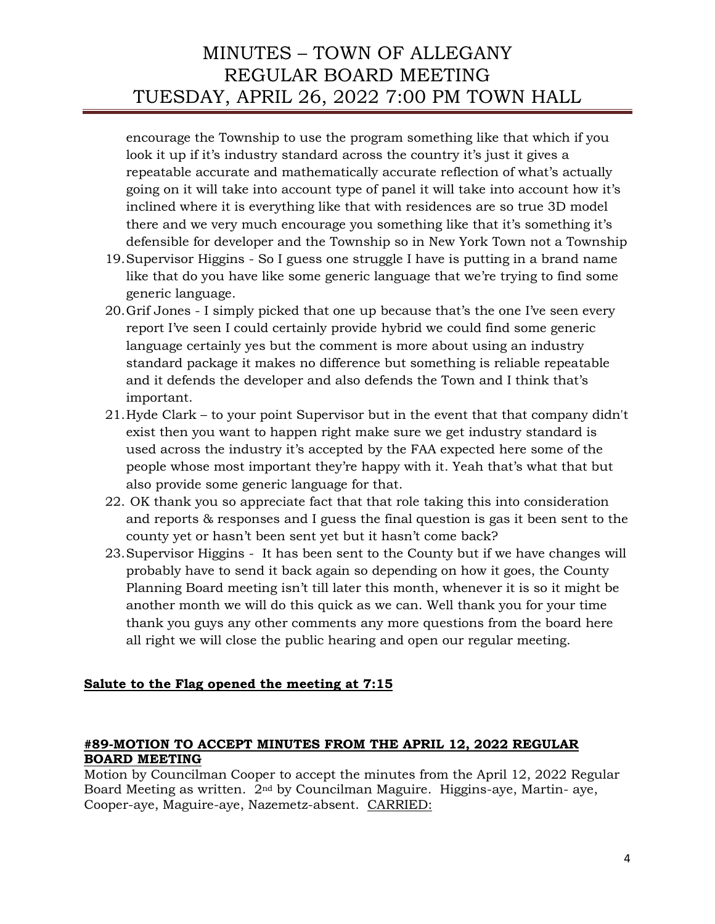encourage the Township to use the program something like that which if you look it up if it's industry standard across the country it's just it gives a repeatable accurate and mathematically accurate reflection of what's actually going on it will take into account type of panel it will take into account how it's inclined where it is everything like that with residences are so true 3D model there and we very much encourage you something like that it's something it's defensible for developer and the Township so in New York Town not a Township

- 19.Supervisor Higgins So I guess one struggle I have is putting in a brand name like that do you have like some generic language that we're trying to find some generic language.
- 20.Grif Jones I simply picked that one up because that's the one I've seen every report I've seen I could certainly provide hybrid we could find some generic language certainly yes but the comment is more about using an industry standard package it makes no difference but something is reliable repeatable and it defends the developer and also defends the Town and I think that's important.
- 21.Hyde Clark to your point Supervisor but in the event that that company didn't exist then you want to happen right make sure we get industry standard is used across the industry it's accepted by the FAA expected here some of the people whose most important they're happy with it. Yeah that's what that but also provide some generic language for that.
- 22. OK thank you so appreciate fact that that role taking this into consideration and reports & responses and I guess the final question is gas it been sent to the county yet or hasn't been sent yet but it hasn't come back?
- 23.Supervisor Higgins It has been sent to the County but if we have changes will probably have to send it back again so depending on how it goes, the County Planning Board meeting isn't till later this month, whenever it is so it might be another month we will do this quick as we can. Well thank you for your time thank you guys any other comments any more questions from the board here all right we will close the public hearing and open our regular meeting.

## **Salute to the Flag opened the meeting at 7:15**

### **#89-MOTION TO ACCEPT MINUTES FROM THE APRIL 12, 2022 REGULAR BOARD MEETING**

Motion by Councilman Cooper to accept the minutes from the April 12, 2022 Regular Board Meeting as written. 2nd by Councilman Maguire. Higgins-aye, Martin- aye, Cooper-aye, Maguire-aye, Nazemetz-absent. CARRIED: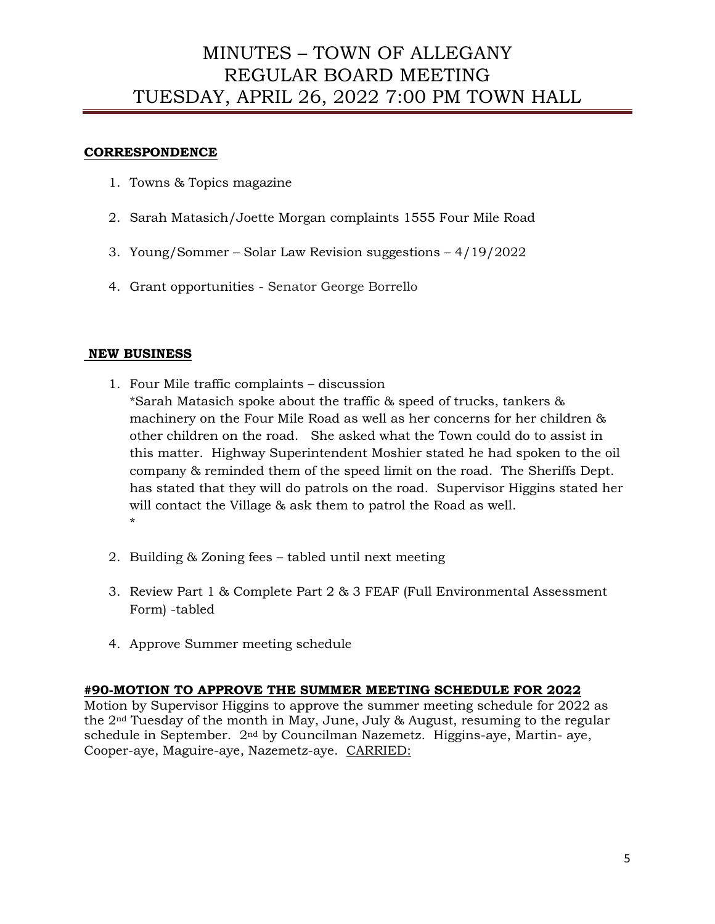#### **CORRESPONDENCE**

- 1. Towns & Topics magazine
- 2. Sarah Matasich/Joette Morgan complaints 1555 Four Mile Road
- 3. Young/Sommer Solar Law Revision suggestions 4/19/2022
- 4. Grant opportunities Senator George Borrello

#### **NEW BUSINESS**

- 1. Four Mile traffic complaints discussion \*Sarah Matasich spoke about the traffic & speed of trucks, tankers & machinery on the Four Mile Road as well as her concerns for her children & other children on the road. She asked what the Town could do to assist in this matter. Highway Superintendent Moshier stated he had spoken to the oil company & reminded them of the speed limit on the road. The Sheriffs Dept. has stated that they will do patrols on the road. Supervisor Higgins stated her will contact the Village & ask them to patrol the Road as well. \*
- 2. Building & Zoning fees tabled until next meeting
- 3. Review Part 1 & Complete Part 2 & 3 FEAF (Full Environmental Assessment Form) -tabled
- 4. Approve Summer meeting schedule

#### **#90-MOTION TO APPROVE THE SUMMER MEETING SCHEDULE FOR 2022**

Motion by Supervisor Higgins to approve the summer meeting schedule for 2022 as the 2nd Tuesday of the month in May, June, July & August, resuming to the regular schedule in September. 2nd by Councilman Nazemetz. Higgins-aye, Martin- aye, Cooper-aye, Maguire-aye, Nazemetz-aye. CARRIED: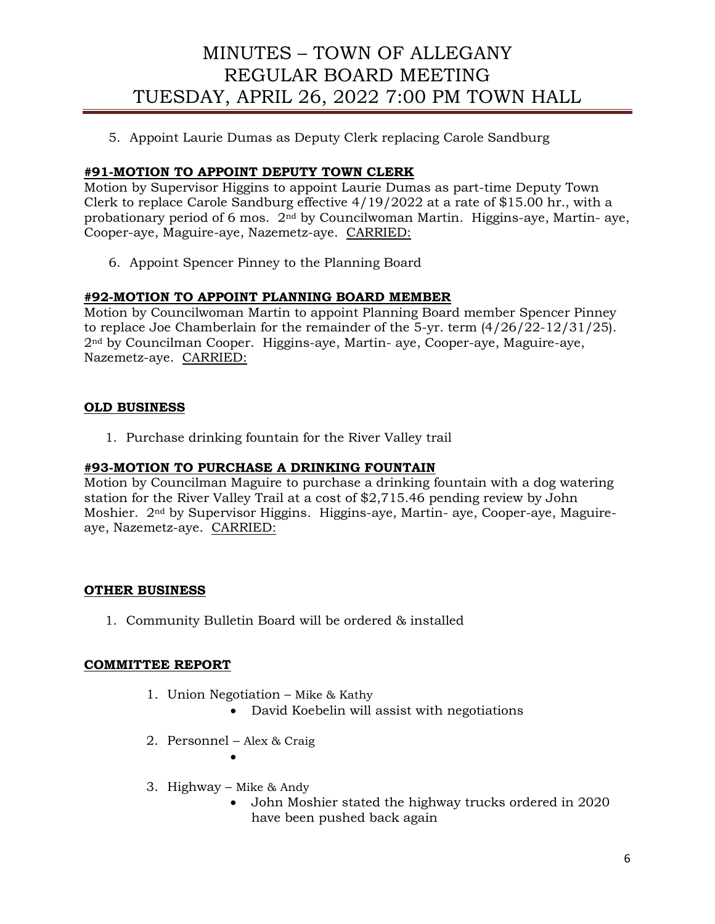5. Appoint Laurie Dumas as Deputy Clerk replacing Carole Sandburg

### **#91-MOTION TO APPOINT DEPUTY TOWN CLERK**

Motion by Supervisor Higgins to appoint Laurie Dumas as part-time Deputy Town Clerk to replace Carole Sandburg effective 4/19/2022 at a rate of \$15.00 hr., with a probationary period of 6 mos. 2nd by Councilwoman Martin. Higgins-aye, Martin- aye, Cooper-aye, Maguire-aye, Nazemetz-aye. CARRIED:

6. Appoint Spencer Pinney to the Planning Board

### **#92-MOTION TO APPOINT PLANNING BOARD MEMBER**

Motion by Councilwoman Martin to appoint Planning Board member Spencer Pinney to replace Joe Chamberlain for the remainder of the 5-yr. term (4/26/22-12/31/25). 2nd by Councilman Cooper. Higgins-aye, Martin- aye, Cooper-aye, Maguire-aye, Nazemetz-aye. CARRIED:

### **OLD BUSINESS**

1. Purchase drinking fountain for the River Valley trail

### **#93-MOTION TO PURCHASE A DRINKING FOUNTAIN**

Motion by Councilman Maguire to purchase a drinking fountain with a dog watering station for the River Valley Trail at a cost of \$2,715.46 pending review by John Moshier. 2nd by Supervisor Higgins. Higgins-aye, Martin- aye, Cooper-aye, Maguireaye, Nazemetz-aye. CARRIED:

#### **OTHER BUSINESS**

1. Community Bulletin Board will be ordered & installed

#### **COMMITTEE REPORT**

- 1. Union Negotiation Mike & Kathy
	- David Koebelin will assist with negotiations
- 2. Personnel Alex & Craig •
- 3. Highway Mike & Andy
	- John Moshier stated the highway trucks ordered in 2020 have been pushed back again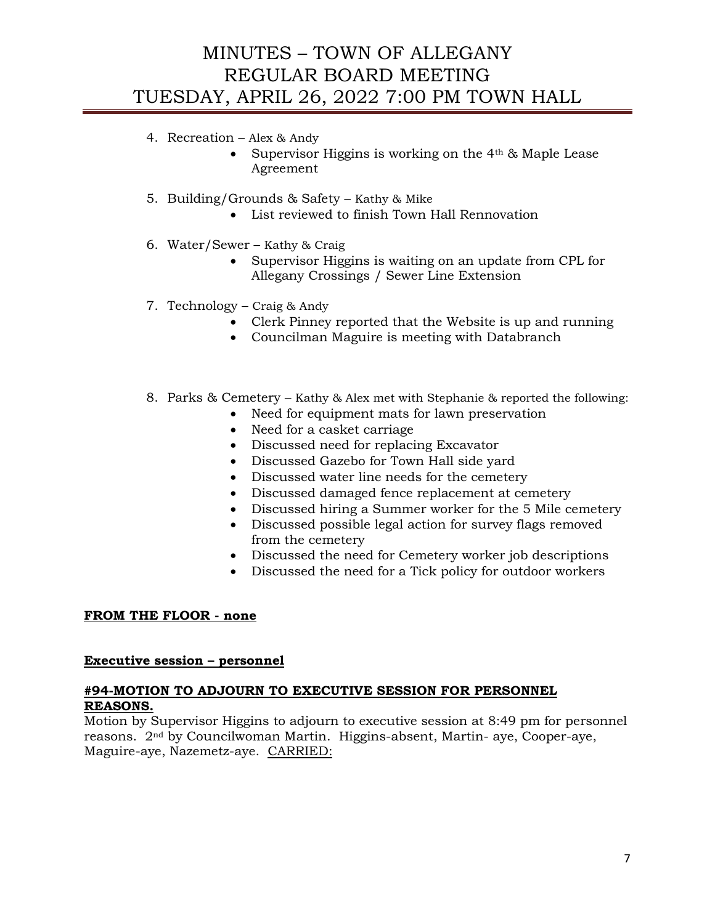## 4. Recreation – Alex & Andy

- Supervisor Higgins is working on the  $4<sup>th</sup>$  & Maple Lease Agreement
- 5. Building/Grounds & Safety Kathy & Mike
	- List reviewed to finish Town Hall Rennovation
- 6. Water/Sewer Kathy & Craig
	- Supervisor Higgins is waiting on an update from CPL for Allegany Crossings / Sewer Line Extension
- 7. Technology Craig & Andy
	- Clerk Pinney reported that the Website is up and running
	- Councilman Maguire is meeting with Databranch
- 8. Parks & Cemetery Kathy & Alex met with Stephanie & reported the following:
	- Need for equipment mats for lawn preservation
	- Need for a casket carriage
	- Discussed need for replacing Excavator
	- Discussed Gazebo for Town Hall side yard
	- Discussed water line needs for the cemetery
	- Discussed damaged fence replacement at cemetery
	- Discussed hiring a Summer worker for the 5 Mile cemetery
	- Discussed possible legal action for survey flags removed from the cemetery
	- Discussed the need for Cemetery worker job descriptions
	- Discussed the need for a Tick policy for outdoor workers

## **FROM THE FLOOR - none**

## **Executive session – personnel**

## **#94-MOTION TO ADJOURN TO EXECUTIVE SESSION FOR PERSONNEL REASONS.**

Motion by Supervisor Higgins to adjourn to executive session at 8:49 pm for personnel reasons. 2nd by Councilwoman Martin. Higgins-absent, Martin- aye, Cooper-aye, Maguire-aye, Nazemetz-aye. CARRIED: